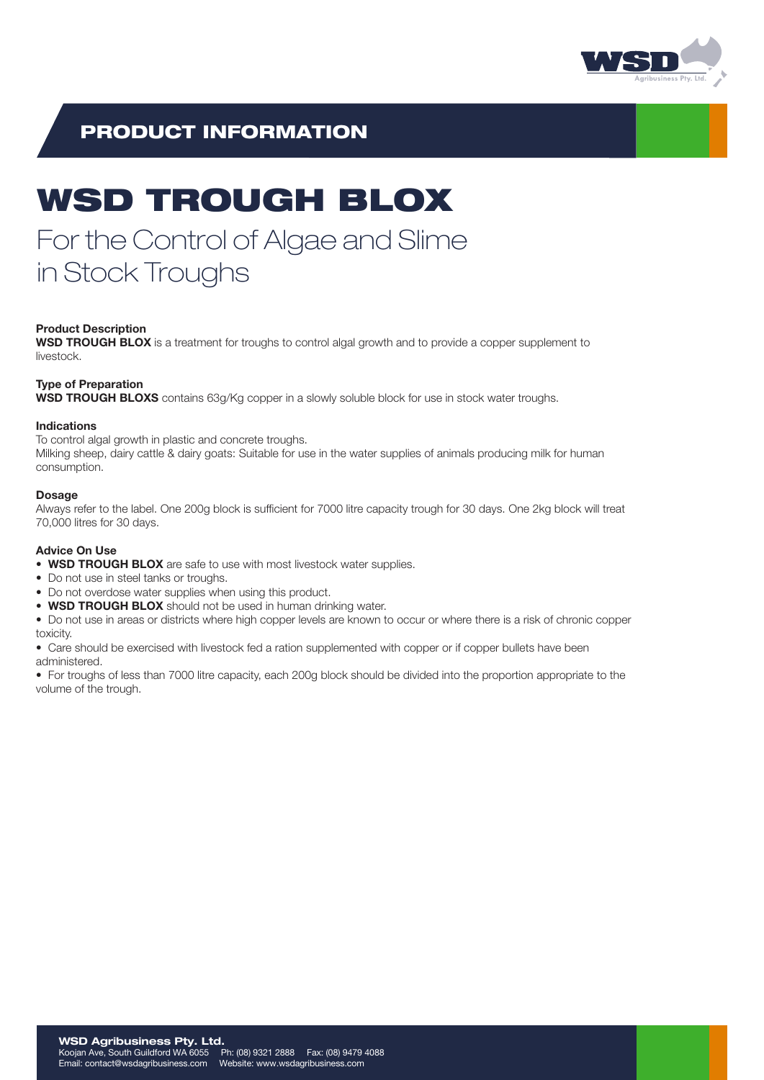

# PRODUCT INFORMATION

# WSD TROUGH BLOX

# For the Control of Algae and Slime in Stock Troughs

# Product Description

WSD TROUGH BLOX is a treatment for troughs to control algal growth and to provide a copper supplement to livestock.

# Type of Preparation

WSD TROUGH BLOXS contains 63g/Kg copper in a slowly soluble block for use in stock water troughs.

# Indications

To control algal growth in plastic and concrete troughs.

Milking sheep, dairy cattle & dairy goats: Suitable for use in the water supplies of animals producing milk for human consumption.

# Dosage

Always refer to the label. One 200g block is sufficient for 7000 litre capacity trough for 30 days. One 2kg block will treat 70,000 litres for 30 days.

# Advice On Use

- WSD TROUGH BLOX are safe to use with most livestock water supplies.
- Do not use in steel tanks or troughs.
- Do not overdose water supplies when using this product.
- WSD TROUGH BLOX should not be used in human drinking water.
- Do not use in areas or districts where high copper levels are known to occur or where there is a risk of chronic copper toxicity.
- Care should be exercised with livestock fed a ration supplemented with copper or if copper bullets have been administered.

• For troughs of less than 7000 litre capacity, each 200g block should be divided into the proportion appropriate to the volume of the trough.